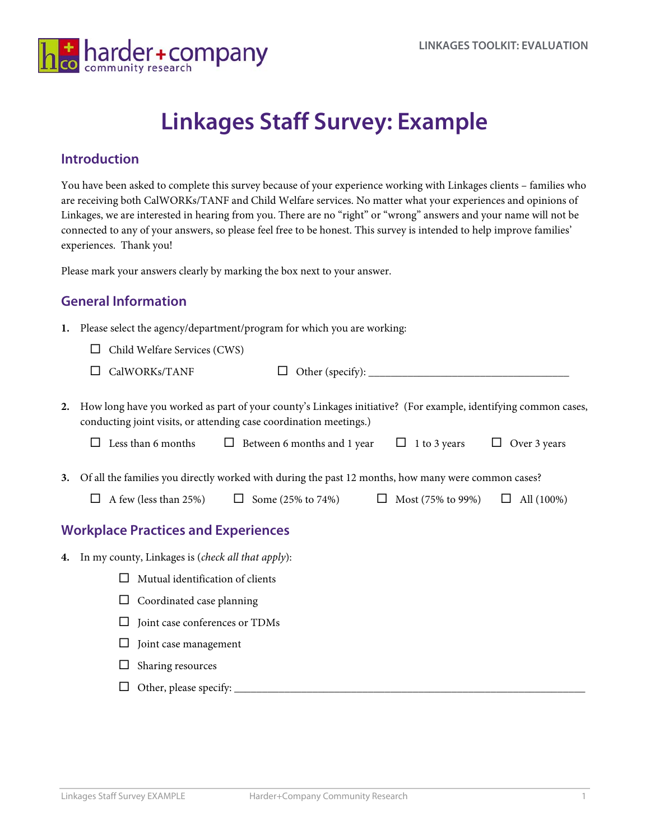

# **Linkages Staff Survey: Example**

#### **Introduction**

You have been asked to complete this survey because of your experience working with Linkages clients – families who are receiving both CalWORKs/TANF and Child Welfare services. No matter what your experiences and opinions of Linkages, we are interested in hearing from you. There are no "right" or "wrong" answers and your name will not be connected to any of your answers, so please feel free to be honest. This survey is intended to help improve families' experiences. Thank you!

Please mark your answers clearly by marking the box next to your answer.

### **General Information**

- **1.** Please select the agency/department/program for which you are working:
	- $\Box$  Child Welfare Services (CWS)
	-

CalWORKs/TANF Other (specify): \_\_\_\_\_\_\_\_\_\_\_\_\_\_\_\_\_\_\_\_\_\_\_\_\_\_\_\_\_\_\_\_\_\_\_\_

**2.** How long have you worked as part of your county's Linkages initiative? (For example, identifying common cases, conducting joint visits, or attending case coordination meetings.)

| $\Box$ Less than 6 months |  | $\Box$ Between 6 months and 1 year $\Box$ 1 to 3 years $\Box$ Over 3 years |  |  |  |  |
|---------------------------|--|----------------------------------------------------------------------------|--|--|--|--|
|---------------------------|--|----------------------------------------------------------------------------|--|--|--|--|

- **3.** Of all the families you directly worked with during the past 12 months, how many were common cases?
	- $\Box$  A few (less than 25%)  $\Box$  Some (25% to 74%)  $\Box$  Most (75% to 99%)  $\Box$  All (100%)

### **Workplace Practices and Experiences**

- **4.** In my county, Linkages is (*check all that apply*):
	- $\Box$  Mutual identification of clients
	- $\Box$  Coordinated case planning
	- $\square$  Joint case conferences or TDMs
	- $\Box$  Joint case management
	- $\Box$  Sharing resources
	- Other, please specify: \_\_\_\_\_\_\_\_\_\_\_\_\_\_\_\_\_\_\_\_\_\_\_\_\_\_\_\_\_\_\_\_\_\_\_\_\_\_\_\_\_\_\_\_\_\_\_\_\_\_\_\_\_\_\_\_\_\_\_\_\_\_\_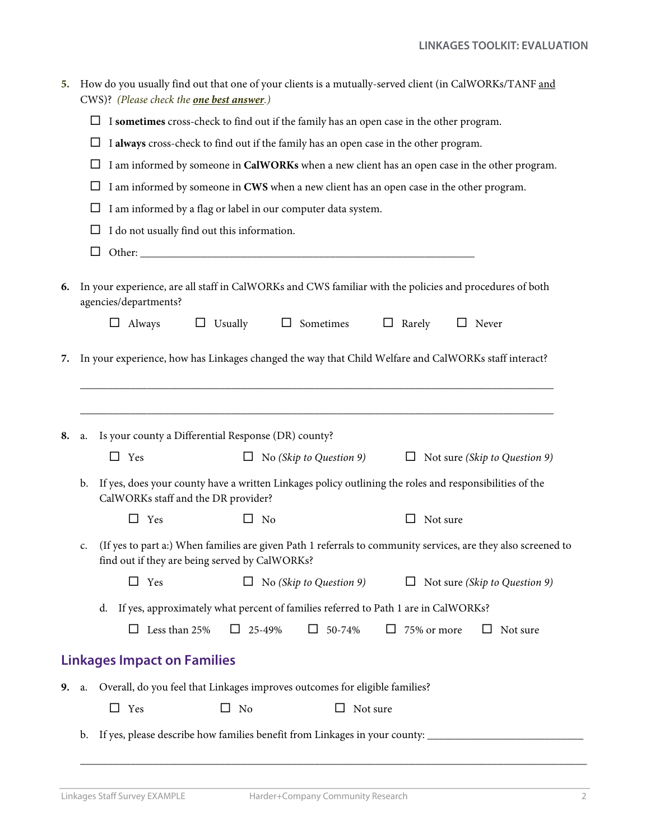| 5. |                                                                                               | How do you usually find out that one of your clients is a mutually-served client (in CalWORKs/TANF and<br>CWS)? (Please check the <b>one best answer</b> .)                                                              |  |  |  |  |  |  |  |  |  |  |
|----|-----------------------------------------------------------------------------------------------|--------------------------------------------------------------------------------------------------------------------------------------------------------------------------------------------------------------------------|--|--|--|--|--|--|--|--|--|--|
|    | I sometimes cross-check to find out if the family has an open case in the other program.<br>Ц |                                                                                                                                                                                                                          |  |  |  |  |  |  |  |  |  |  |
|    | ப                                                                                             | I always cross-check to find out if the family has an open case in the other program.                                                                                                                                    |  |  |  |  |  |  |  |  |  |  |
|    |                                                                                               | I am informed by someone in CalWORKs when a new client has an open case in the other program.                                                                                                                            |  |  |  |  |  |  |  |  |  |  |
|    | I am informed by someone in CWS when a new client has an open case in the other program.<br>ப |                                                                                                                                                                                                                          |  |  |  |  |  |  |  |  |  |  |
|    | I am informed by a flag or label in our computer data system.<br>ப                            |                                                                                                                                                                                                                          |  |  |  |  |  |  |  |  |  |  |
|    |                                                                                               | I do not usually find out this information.                                                                                                                                                                              |  |  |  |  |  |  |  |  |  |  |
|    |                                                                                               |                                                                                                                                                                                                                          |  |  |  |  |  |  |  |  |  |  |
| 6. |                                                                                               | In your experience, are all staff in CalWORKs and CWS familiar with the policies and procedures of both<br>agencies/departments?<br>$\Box$ Always<br>$\Box$ Usually<br>$\Box$ Sometimes<br>$\Box$ Rarely<br>$\Box$ Never |  |  |  |  |  |  |  |  |  |  |
| 7. |                                                                                               | In your experience, how has Linkages changed the way that Child Welfare and CalWORKs staff interact?                                                                                                                     |  |  |  |  |  |  |  |  |  |  |
| 8. | Is your county a Differential Response (DR) county?<br>a.                                     |                                                                                                                                                                                                                          |  |  |  |  |  |  |  |  |  |  |
|    |                                                                                               | $\Box$ Yes<br>No (Skip to Question 9)<br>Not sure (Skip to Question 9)<br>ப                                                                                                                                              |  |  |  |  |  |  |  |  |  |  |
|    | b.                                                                                            | If yes, does your county have a written Linkages policy outlining the roles and responsibilities of the<br>CalWORKs staff and the DR provider?                                                                           |  |  |  |  |  |  |  |  |  |  |
|    |                                                                                               | □<br>Yes<br>□<br>No<br>Not sure                                                                                                                                                                                          |  |  |  |  |  |  |  |  |  |  |
|    | c.                                                                                            | (If yes to part a:) When families are given Path 1 referrals to community services, are they also screened to<br>find out if they are being served by CalWORKs?                                                          |  |  |  |  |  |  |  |  |  |  |
|    |                                                                                               | No (Skip to Question 9)<br>$\Box$ Yes<br>Not sure (Skip to Question 9)<br>$\Box$<br>$\Box$                                                                                                                               |  |  |  |  |  |  |  |  |  |  |
|    |                                                                                               | If yes, approximately what percent of families referred to Path 1 are in CalWORKs?<br>d.                                                                                                                                 |  |  |  |  |  |  |  |  |  |  |
|    |                                                                                               | Less than 25%<br>$\Box$ 25-49%<br>$\Box$<br>50-74%<br>75% or more<br>Not sure                                                                                                                                            |  |  |  |  |  |  |  |  |  |  |
|    |                                                                                               | <b>Linkages Impact on Families</b>                                                                                                                                                                                       |  |  |  |  |  |  |  |  |  |  |
|    |                                                                                               |                                                                                                                                                                                                                          |  |  |  |  |  |  |  |  |  |  |
| 9. | a.                                                                                            | Overall, do you feel that Linkages improves outcomes for eligible families?                                                                                                                                              |  |  |  |  |  |  |  |  |  |  |
|    |                                                                                               | Yes<br>□<br>No<br>Not sure<br>$\Box$                                                                                                                                                                                     |  |  |  |  |  |  |  |  |  |  |
|    | b.                                                                                            | If yes, please describe how families benefit from Linkages in your county: ___________________________________                                                                                                           |  |  |  |  |  |  |  |  |  |  |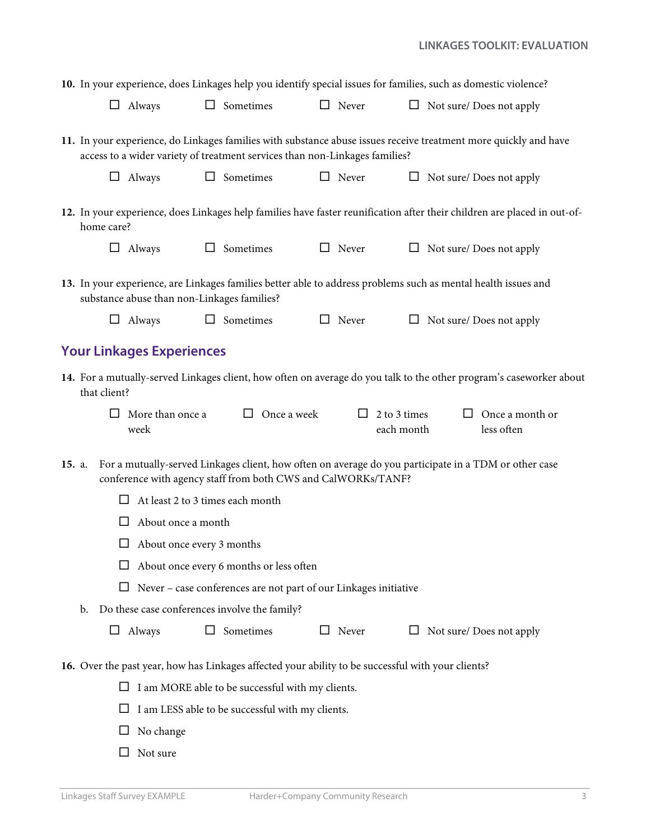|        |                                                                                                    | 10. In your experience, does Linkages help you identify special issues for families, such as domestic violence?                                                                                 |        |                                                               |  |                                   |  |                                                                                                                          |  |  |
|--------|----------------------------------------------------------------------------------------------------|-------------------------------------------------------------------------------------------------------------------------------------------------------------------------------------------------|--------|---------------------------------------------------------------|--|-----------------------------------|--|--------------------------------------------------------------------------------------------------------------------------|--|--|
|        |                                                                                                    | $\Box$ Always                                                                                                                                                                                   |        | $\Box$ Sometimes                                              |  | $\Box$ Never                      |  | $\Box$ Not sure/ Does not apply                                                                                          |  |  |
|        |                                                                                                    | 11. In your experience, do Linkages families with substance abuse issues receive treatment more quickly and have<br>access to a wider variety of treatment services than non-Linkages families? |        |                                                               |  |                                   |  |                                                                                                                          |  |  |
|        |                                                                                                    | $\Box$ Always                                                                                                                                                                                   |        | $\Box$ Sometimes                                              |  | $\Box$ Never                      |  | $\Box$ Not sure/ Does not apply                                                                                          |  |  |
|        | home care?                                                                                         |                                                                                                                                                                                                 |        |                                                               |  |                                   |  | 12. In your experience, does Linkages help families have faster reunification after their children are placed in out-of- |  |  |
|        |                                                                                                    | $\Box$ Always                                                                                                                                                                                   |        | $\Box$ Sometimes                                              |  | $\Box$ Never                      |  | $\Box$ Not sure/ Does not apply                                                                                          |  |  |
|        |                                                                                                    | substance abuse than non-Linkages families?                                                                                                                                                     |        |                                                               |  |                                   |  | 13. In your experience, are Linkages families better able to address problems such as mental health issues and           |  |  |
|        |                                                                                                    | $\Box$ Always                                                                                                                                                                                   |        | $\Box$ Sometimes                                              |  | $\Box$ Never                      |  | $\Box$ Not sure/ Does not apply                                                                                          |  |  |
|        |                                                                                                    | <b>Your Linkages Experiences</b>                                                                                                                                                                |        |                                                               |  |                                   |  |                                                                                                                          |  |  |
|        | that client?                                                                                       |                                                                                                                                                                                                 |        |                                                               |  |                                   |  | 14. For a mutually-served Linkages client, how often on average do you talk to the other program's caseworker about      |  |  |
|        | $\Box$                                                                                             | More than once a<br>week                                                                                                                                                                        |        | $\Box$ Once a week                                            |  | $\Box$ 2 to 3 times<br>each month |  | $\Box$ Once a month or<br>less often                                                                                     |  |  |
| 15. a. |                                                                                                    |                                                                                                                                                                                                 |        | conference with agency staff from both CWS and CalWORKs/TANF? |  |                                   |  | For a mutually-served Linkages client, how often on average do you participate in a TDM or other case                    |  |  |
|        | ப                                                                                                  | At least 2 to 3 times each month                                                                                                                                                                |        |                                                               |  |                                   |  |                                                                                                                          |  |  |
|        |                                                                                                    | About once a month                                                                                                                                                                              |        |                                                               |  |                                   |  |                                                                                                                          |  |  |
|        |                                                                                                    | About once every 3 months                                                                                                                                                                       |        |                                                               |  |                                   |  |                                                                                                                          |  |  |
|        |                                                                                                    |                                                                                                                                                                                                 |        | About once every 6 months or less often                       |  |                                   |  |                                                                                                                          |  |  |
|        | Never - case conferences are not part of our Linkages initiative                                   |                                                                                                                                                                                                 |        |                                                               |  |                                   |  |                                                                                                                          |  |  |
|        | Do these case conferences involve the family?<br>b.                                                |                                                                                                                                                                                                 |        |                                                               |  |                                   |  |                                                                                                                          |  |  |
|        | ⊔                                                                                                  | Always                                                                                                                                                                                          | $\Box$ | Sometimes                                                     |  | $\Box$ Never                      |  | Not sure/Does not apply                                                                                                  |  |  |
|        | 16. Over the past year, how has Linkages affected your ability to be successful with your clients? |                                                                                                                                                                                                 |        |                                                               |  |                                   |  |                                                                                                                          |  |  |
|        |                                                                                                    |                                                                                                                                                                                                 |        | I am MORE able to be successful with my clients.              |  |                                   |  |                                                                                                                          |  |  |
|        |                                                                                                    |                                                                                                                                                                                                 |        | I am LESS able to be successful with my clients.              |  |                                   |  |                                                                                                                          |  |  |
|        | ப                                                                                                  | No change                                                                                                                                                                                       |        |                                                               |  |                                   |  |                                                                                                                          |  |  |
|        |                                                                                                    | Not sure                                                                                                                                                                                        |        |                                                               |  |                                   |  |                                                                                                                          |  |  |